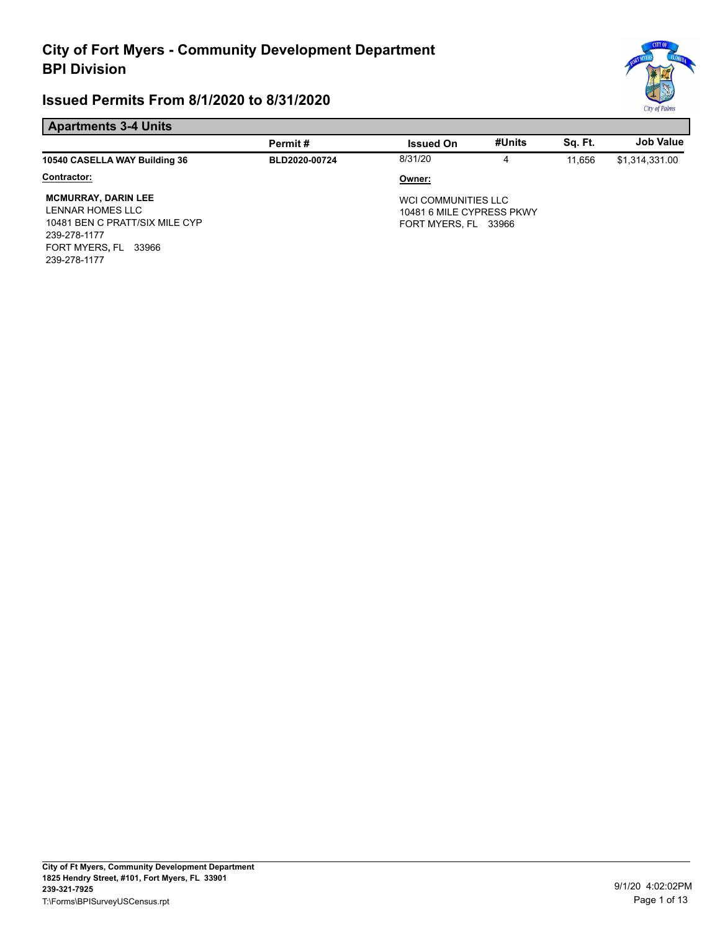# \* months of the country of the country of the country of the country of the country of the country of the country of *City*  ~ *of Palms*

#### **Apartments 3-4 Units**

|                                                                                                                                             | Permit#       | <b>Issued On</b>                                                         | #Units | Sq. Ft. | <b>Job Value</b> |
|---------------------------------------------------------------------------------------------------------------------------------------------|---------------|--------------------------------------------------------------------------|--------|---------|------------------|
| 10540 CASELLA WAY Building 36                                                                                                               | BLD2020-00724 | 8/31/20                                                                  | 4      | 11.656  | \$1,314,331.00   |
| Contractor:                                                                                                                                 |               | Owner:                                                                   |        |         |                  |
| <b>MCMURRAY, DARIN LEE</b><br>LENNAR HOMES LLC<br>10481 BEN C PRATT/SIX MILE CYP<br>239-278-1177<br>FORT MYERS, FL<br>33966<br>239-278-1177 |               | WCI COMMUNITIES LLC<br>10481 6 MILE CYPRESS PKWY<br>FORT MYERS, FL 33966 |        |         |                  |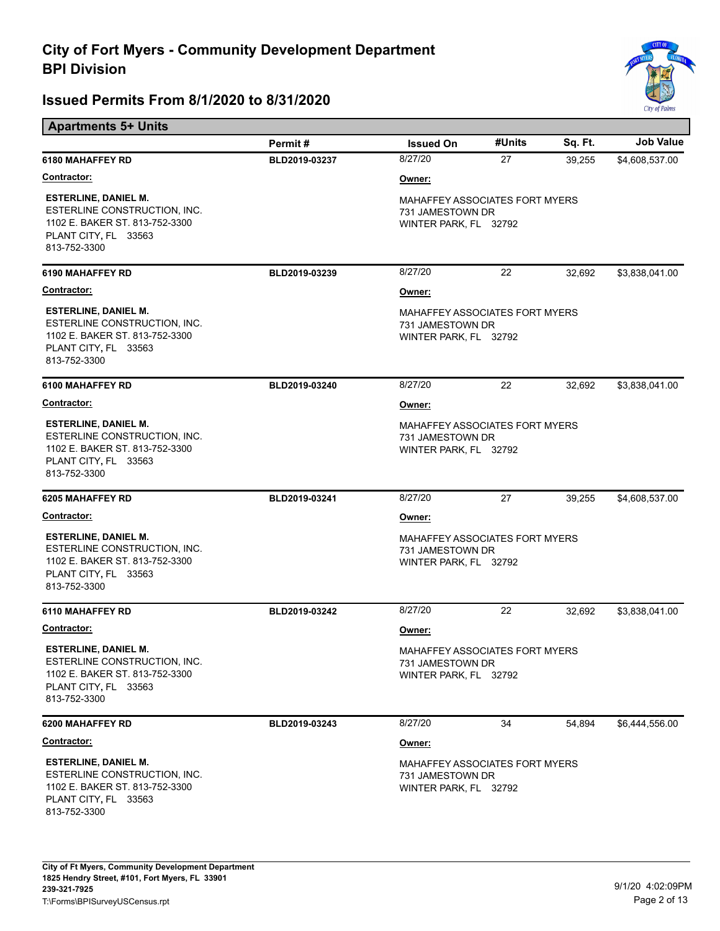

| <b>Apartments 5+ Units</b>                                                                                                            |               |                                                                                    |        |         |                  |
|---------------------------------------------------------------------------------------------------------------------------------------|---------------|------------------------------------------------------------------------------------|--------|---------|------------------|
|                                                                                                                                       | Permit#       | <b>Issued On</b>                                                                   | #Units | Sq. Ft. | <b>Job Value</b> |
| 6180 MAHAFFEY RD                                                                                                                      | BLD2019-03237 | 8/27/20                                                                            | 27     | 39,255  | \$4,608,537.00   |
| <b>Contractor:</b>                                                                                                                    |               | Owner:                                                                             |        |         |                  |
| <b>ESTERLINE, DANIEL M.</b><br>ESTERLINE CONSTRUCTION, INC.<br>1102 E. BAKER ST. 813-752-3300<br>PLANT CITY, FL 33563<br>813-752-3300 |               | MAHAFFEY ASSOCIATES FORT MYERS<br>731 JAMESTOWN DR<br>WINTER PARK, FL 32792        |        |         |                  |
| 6190 MAHAFFEY RD                                                                                                                      | BLD2019-03239 | 8/27/20                                                                            | 22     | 32,692  | \$3,838,041.00   |
| Contractor:                                                                                                                           |               | Owner:                                                                             |        |         |                  |
| <b>ESTERLINE, DANIEL M.</b><br>ESTERLINE CONSTRUCTION, INC.<br>1102 E. BAKER ST. 813-752-3300<br>PLANT CITY, FL 33563<br>813-752-3300 |               | MAHAFFEY ASSOCIATES FORT MYERS<br>731 JAMESTOWN DR<br>WINTER PARK, FL 32792        |        |         |                  |
| <b>6100 MAHAFFEY RD</b>                                                                                                               | BLD2019-03240 | 8/27/20                                                                            | 22     | 32,692  | \$3,838,041.00   |
| Contractor:                                                                                                                           |               | Owner:                                                                             |        |         |                  |
| <b>ESTERLINE, DANIEL M.</b><br>ESTERLINE CONSTRUCTION, INC.<br>1102 E. BAKER ST. 813-752-3300<br>PLANT CITY, FL 33563<br>813-752-3300 |               | MAHAFFEY ASSOCIATES FORT MYERS<br>731 JAMESTOWN DR<br>WINTER PARK, FL 32792        |        |         |                  |
| <b>6205 MAHAFFEY RD</b>                                                                                                               | BLD2019-03241 | 8/27/20                                                                            | 27     | 39,255  | \$4,608,537.00   |
| <b>Contractor:</b>                                                                                                                    |               | Owner:                                                                             |        |         |                  |
| <b>ESTERLINE, DANIEL M.</b><br>ESTERLINE CONSTRUCTION, INC.<br>1102 E. BAKER ST. 813-752-3300<br>PLANT CITY, FL 33563<br>813-752-3300 |               | <b>MAHAFFEY ASSOCIATES FORT MYERS</b><br>731 JAMESTOWN DR<br>WINTER PARK, FL 32792 |        |         |                  |
| 6110 MAHAFFEY RD                                                                                                                      | BLD2019-03242 | 8/27/20                                                                            | 22     | 32,692  | \$3,838,041.00   |
| <b>Contractor:</b>                                                                                                                    |               | Owner:                                                                             |        |         |                  |
| <b>ESTERLINE, DANIEL M.</b><br>ESTERLINE CONSTRUCTION, INC.<br>1102 E. BAKER ST. 813-752-3300<br>PLANT CITY, FL 33563<br>813-752-3300 |               | <b>MAHAFFEY ASSOCIATES FORT MYERS</b><br>731 JAMESTOWN DR<br>WINTER PARK, FL 32792 |        |         |                  |
| 6200 MAHAFFEY RD                                                                                                                      | BLD2019-03243 | 8/27/20                                                                            | 34     | 54,894  | \$6,444,556.00   |
| <u>Contractor:</u>                                                                                                                    |               | Owner:                                                                             |        |         |                  |
| <b>ESTERLINE, DANIEL M.</b><br>ESTERLINE CONSTRUCTION, INC.<br>1102 E. BAKER ST. 813-752-3300<br>PLANT CITY, FL 33563<br>813-752-3300 |               | <b>MAHAFFEY ASSOCIATES FORT MYERS</b><br>731 JAMESTOWN DR<br>WINTER PARK, FL 32792 |        |         |                  |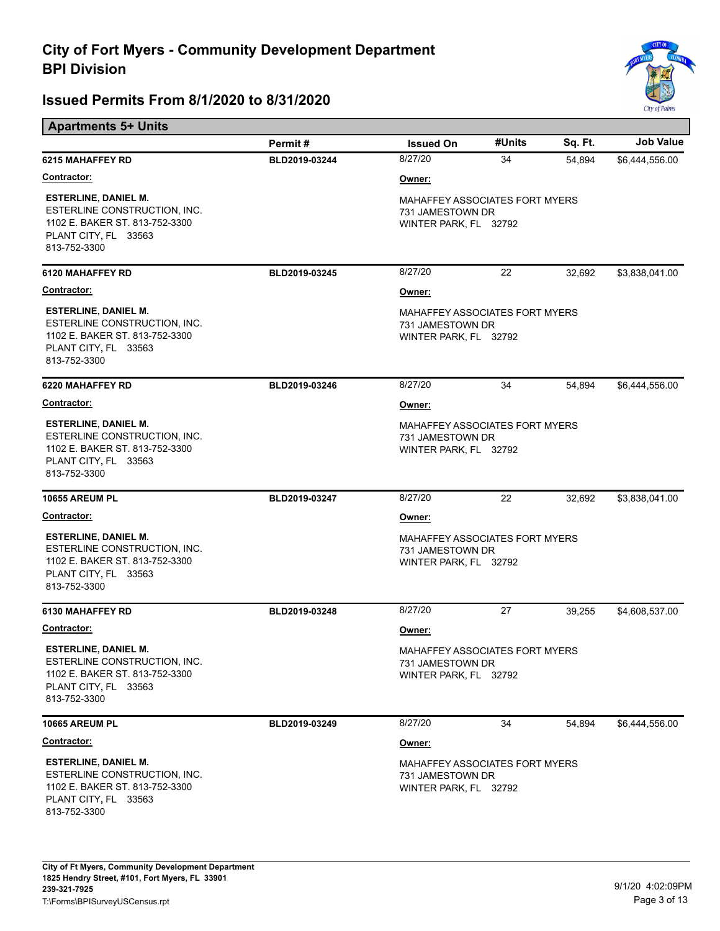**Apartments 5+ Units** 



|                                                                                                                                       | Permit#       | <b>Issued On</b>                                                                   | #Units | Sq. Ft. | <b>Job Value</b> |  |
|---------------------------------------------------------------------------------------------------------------------------------------|---------------|------------------------------------------------------------------------------------|--------|---------|------------------|--|
| <b>6215 MAHAFFEY RD</b>                                                                                                               | BLD2019-03244 | 8/27/20                                                                            | 34     | 54,894  | \$6,444,556.00   |  |
| <u>Contractor:</u>                                                                                                                    |               | Owner:                                                                             |        |         |                  |  |
| <b>ESTERLINE, DANIEL M.</b><br>ESTERLINE CONSTRUCTION, INC.<br>1102 E. BAKER ST. 813-752-3300<br>PLANT CITY, FL 33563<br>813-752-3300 |               | MAHAFFEY ASSOCIATES FORT MYERS<br>731 JAMESTOWN DR<br>WINTER PARK, FL 32792        |        |         |                  |  |
| 6120 MAHAFFEY RD                                                                                                                      | BLD2019-03245 | 8/27/20                                                                            | 22     | 32,692  | \$3,838,041.00   |  |
| <b>Contractor:</b>                                                                                                                    |               | Owner:                                                                             |        |         |                  |  |
| <b>ESTERLINE, DANIEL M.</b><br>ESTERLINE CONSTRUCTION, INC.<br>1102 E. BAKER ST. 813-752-3300<br>PLANT CITY, FL 33563<br>813-752-3300 |               | <b>MAHAFFEY ASSOCIATES FORT MYERS</b><br>731 JAMESTOWN DR<br>WINTER PARK, FL 32792 |        |         |                  |  |
| <b>6220 MAHAFFEY RD</b>                                                                                                               | BLD2019-03246 | 8/27/20                                                                            | 34     | 54,894  | \$6,444,556.00   |  |
| <u>Contractor:</u>                                                                                                                    |               | Owner:                                                                             |        |         |                  |  |
| <b>ESTERLINE, DANIEL M.</b><br>ESTERLINE CONSTRUCTION, INC.<br>1102 E. BAKER ST. 813-752-3300<br>PLANT CITY, FL 33563<br>813-752-3300 |               | MAHAFFEY ASSOCIATES FORT MYERS<br>731 JAMESTOWN DR<br>WINTER PARK, FL 32792        |        |         |                  |  |
| <b>10655 AREUM PL</b>                                                                                                                 | BLD2019-03247 | 8/27/20                                                                            | 22     | 32,692  | \$3,838,041.00   |  |
| <u>Contractor:</u>                                                                                                                    |               | Owner:                                                                             |        |         |                  |  |
| <b>ESTERLINE, DANIEL M.</b><br>ESTERLINE CONSTRUCTION, INC.<br>1102 E. BAKER ST. 813-752-3300<br>PLANT CITY, FL 33563<br>813-752-3300 |               | <b>MAHAFFEY ASSOCIATES FORT MYERS</b><br>731 JAMESTOWN DR<br>WINTER PARK, FL 32792 |        |         |                  |  |
| 6130 MAHAFFEY RD                                                                                                                      | BLD2019-03248 | 8/27/20                                                                            | 27     | 39,255  | \$4,608,537.00   |  |
| <u>Contractor:</u>                                                                                                                    |               | Owner:                                                                             |        |         |                  |  |
| <b>ESTERLINE, DANIEL M.</b><br>ESTERLINE CONSTRUCTION, INC.<br>1102 E. BAKER ST. 813-752-3300<br>PLANT CITY, FL 33563<br>813-752-3300 |               | MAHAFFEY ASSOCIATES FORT MYERS<br>731 JAMESTOWN DR<br>WINTER PARK, FL 32792        |        |         |                  |  |
| <b>10665 AREUM PL</b>                                                                                                                 | BLD2019-03249 | 8/27/20                                                                            | 34     | 54,894  | \$6,444,556.00   |  |
| Contractor:                                                                                                                           |               | Owner:                                                                             |        |         |                  |  |
| <b>ESTERLINE, DANIEL M.</b><br>ESTERLINE CONSTRUCTION, INC.<br>1102 E. BAKER ST. 813-752-3300<br>PLANT CITY, FL 33563<br>813-752-3300 |               | MAHAFFEY ASSOCIATES FORT MYERS<br>731 JAMESTOWN DR<br>WINTER PARK, FL 32792        |        |         |                  |  |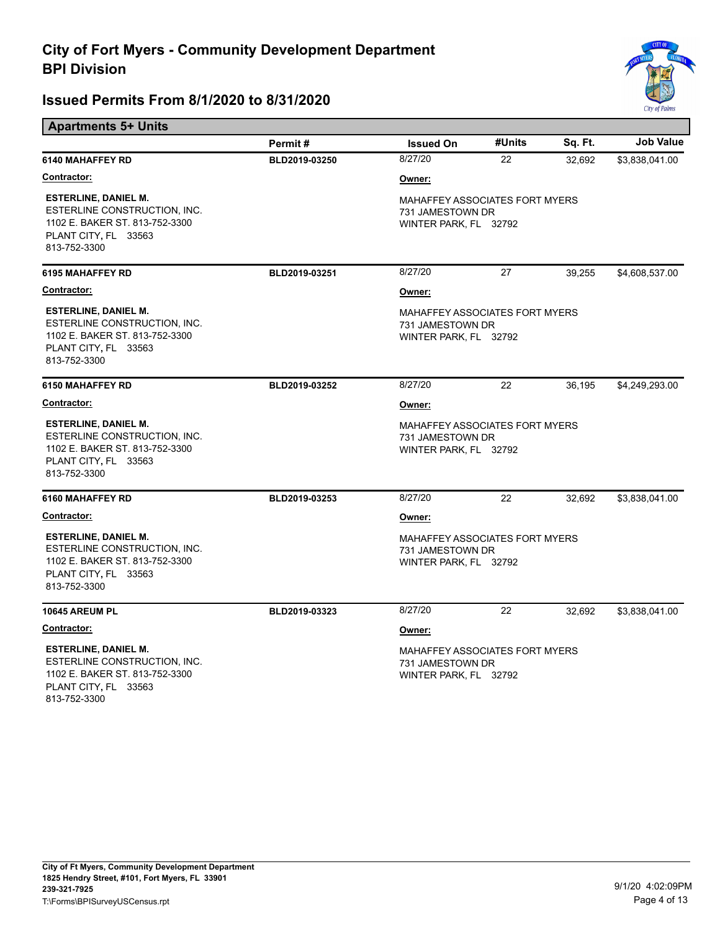**Apartments 5+ Units** 



|                                                                                                                                       | Permit#       | <b>Issued On</b>                                                                   | #Units | Sq. Ft. | <b>Job Value</b> |
|---------------------------------------------------------------------------------------------------------------------------------------|---------------|------------------------------------------------------------------------------------|--------|---------|------------------|
| 6140 MAHAFFEY RD                                                                                                                      | BLD2019-03250 | 8/27/20                                                                            | 22     | 32,692  | \$3,838,041.00   |
| Contractor:                                                                                                                           |               | Owner:                                                                             |        |         |                  |
| <b>ESTERLINE, DANIEL M.</b><br>ESTERLINE CONSTRUCTION, INC.<br>1102 E. BAKER ST. 813-752-3300<br>PLANT CITY, FL 33563<br>813-752-3300 |               | <b>MAHAFFEY ASSOCIATES FORT MYERS</b><br>731 JAMESTOWN DR<br>WINTER PARK, FL 32792 |        |         |                  |
| <b>6195 MAHAFFEY RD</b>                                                                                                               | BLD2019-03251 | 8/27/20                                                                            | 27     | 39,255  | \$4,608,537.00   |
| <b>Contractor:</b>                                                                                                                    |               | Owner:                                                                             |        |         |                  |
| <b>ESTERLINE, DANIEL M.</b><br>ESTERLINE CONSTRUCTION, INC.<br>1102 E. BAKER ST. 813-752-3300<br>PLANT CITY, FL 33563<br>813-752-3300 |               | <b>MAHAFFEY ASSOCIATES FORT MYERS</b><br>731 JAMESTOWN DR<br>WINTER PARK, FL 32792 |        |         |                  |
| 6150 MAHAFFEY RD                                                                                                                      | BLD2019-03252 | 8/27/20                                                                            | 22     | 36,195  | \$4,249,293.00   |
| <u>Contractor:</u>                                                                                                                    |               | Owner:                                                                             |        |         |                  |
| <b>ESTERLINE, DANIEL M.</b><br>ESTERLINE CONSTRUCTION, INC.<br>1102 E. BAKER ST. 813-752-3300<br>PLANT CITY, FL 33563<br>813-752-3300 |               | MAHAFFEY ASSOCIATES FORT MYERS<br>731 JAMESTOWN DR<br>WINTER PARK, FL 32792        |        |         |                  |
| 6160 MAHAFFEY RD                                                                                                                      | BLD2019-03253 | 8/27/20                                                                            | 22     | 32,692  | \$3,838,041.00   |
| <u>Contractor:</u>                                                                                                                    |               | Owner:                                                                             |        |         |                  |
| <b>ESTERLINE, DANIEL M.</b><br>ESTERLINE CONSTRUCTION, INC.<br>1102 E. BAKER ST. 813-752-3300<br>PLANT CITY, FL 33563<br>813-752-3300 |               | <b>MAHAFFEY ASSOCIATES FORT MYERS</b><br>731 JAMESTOWN DR<br>WINTER PARK, FL 32792 |        |         |                  |
| 10645 AREUM PL                                                                                                                        | BLD2019-03323 | 8/27/20                                                                            | 22     | 32,692  | \$3,838,041.00   |
| <b>Contractor:</b>                                                                                                                    |               | Owner:                                                                             |        |         |                  |
| <b>ESTERLINE, DANIEL M.</b><br>ESTERLINE CONSTRUCTION, INC.<br>1102 E. BAKER ST. 813-752-3300<br>PLANT CITY, FL 33563<br>813-752-3300 |               | <b>MAHAFFEY ASSOCIATES FORT MYERS</b><br>731 JAMESTOWN DR<br>WINTER PARK, FL 32792 |        |         |                  |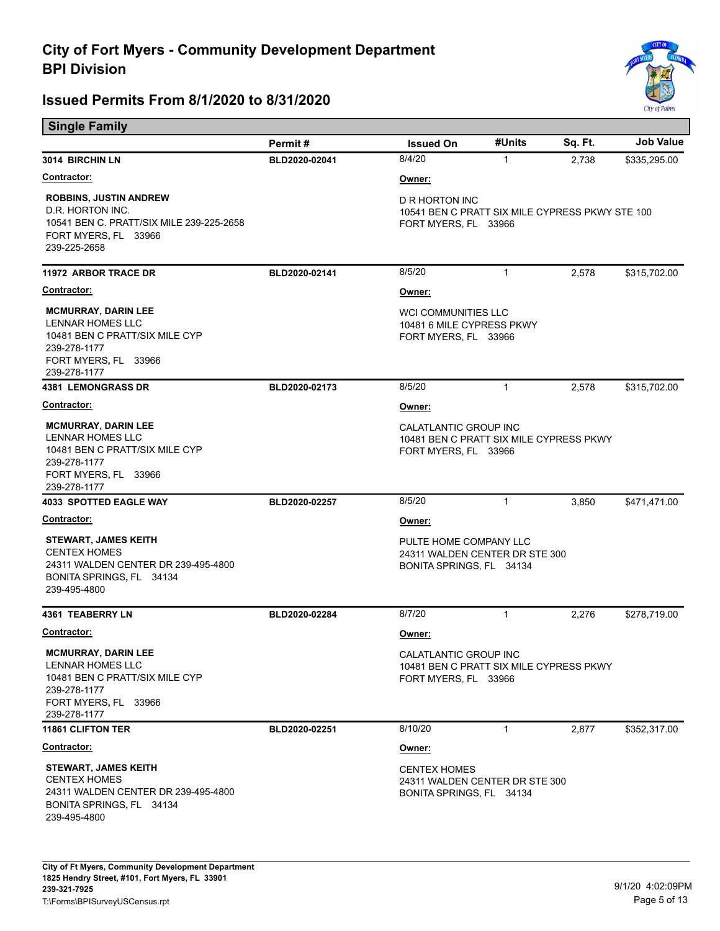

| <b>Single Family</b>                                                                                                                            |               |                                                                                           |              |         |                  |  |
|-------------------------------------------------------------------------------------------------------------------------------------------------|---------------|-------------------------------------------------------------------------------------------|--------------|---------|------------------|--|
|                                                                                                                                                 | Permit#       | <b>Issued On</b>                                                                          | #Units       | Sq. Ft. | <b>Job Value</b> |  |
| 3014 BIRCHIN LN                                                                                                                                 | BLD2020-02041 | 8/4/20                                                                                    | 1            | 2,738   | \$335,295.00     |  |
| <u>Contractor:</u>                                                                                                                              |               | Owner:                                                                                    |              |         |                  |  |
| <b>ROBBINS, JUSTIN ANDREW</b><br>D.R. HORTON INC.<br>10541 BEN C. PRATT/SIX MILE 239-225-2658<br>FORT MYERS, FL 33966<br>239-225-2658           |               | D R HORTON INC<br>10541 BEN C PRATT SIX MILE CYPRESS PKWY STE 100<br>FORT MYERS, FL 33966 |              |         |                  |  |
| <b>11972 ARBOR TRACE DR</b>                                                                                                                     | BLD2020-02141 | 8/5/20                                                                                    | $\mathbf{1}$ | 2,578   | \$315,702.00     |  |
| <b>Contractor:</b>                                                                                                                              |               | Owner:                                                                                    |              |         |                  |  |
| <b>MCMURRAY, DARIN LEE</b><br>LENNAR HOMES LLC<br>10481 BEN C PRATT/SIX MILE CYP<br>239-278-1177<br>FORT MYERS, FL 33966<br>239-278-1177        |               | <b>WCI COMMUNITIES LLC</b><br>10481 6 MILE CYPRESS PKWY<br>FORT MYERS, FL 33966           |              |         |                  |  |
| <b>4381 LEMONGRASS DR</b>                                                                                                                       | BLD2020-02173 | 8/5/20                                                                                    | $\mathbf{1}$ | 2,578   | \$315,702.00     |  |
| <u>Contractor:</u>                                                                                                                              |               | Owner:                                                                                    |              |         |                  |  |
| <b>MCMURRAY, DARIN LEE</b><br><b>LENNAR HOMES LLC</b><br>10481 BEN C PRATT/SIX MILE CYP<br>239-278-1177<br>FORT MYERS, FL 33966<br>239-278-1177 |               | CALATLANTIC GROUP INC<br>10481 BEN C PRATT SIX MILE CYPRESS PKWY<br>FORT MYERS, FL 33966  |              |         |                  |  |
| <b>4033 SPOTTED EAGLE WAY</b>                                                                                                                   | BLD2020-02257 | 8/5/20                                                                                    | $\mathbf{1}$ | 3,850   | \$471,471.00     |  |
| <u>Contractor:</u>                                                                                                                              |               | Owner:                                                                                    |              |         |                  |  |
| <b>STEWART, JAMES KEITH</b><br><b>CENTEX HOMES</b><br>24311 WALDEN CENTER DR 239-495-4800<br>BONITA SPRINGS, FL 34134<br>239-495-4800           |               | PULTE HOME COMPANY LLC<br>24311 WALDEN CENTER DR STE 300<br>BONITA SPRINGS, FL 34134      |              |         |                  |  |
| <b>4361 TEABERRY LN</b>                                                                                                                         | BLD2020-02284 | 8/7/20                                                                                    | $\mathbf{1}$ | 2,276   | \$278,719.00     |  |
| Contractor:                                                                                                                                     |               | <u>Owner:</u>                                                                             |              |         |                  |  |
| <b>MCMURRAY, DARIN LEE</b><br><b>LENNAR HOMES LLC</b><br>10481 BEN C PRATT/SIX MILE CYP<br>239-278-1177<br>FORT MYERS, FL 33966<br>239-278-1177 |               | CALATLANTIC GROUP INC<br>10481 BEN C PRATT SIX MILE CYPRESS PKWY<br>FORT MYERS, FL 33966  |              |         |                  |  |
| <b>11861 CLIFTON TER</b>                                                                                                                        | BLD2020-02251 | 8/10/20                                                                                   | $\mathbf{1}$ | 2,877   | \$352,317.00     |  |
| <u>Contractor:</u>                                                                                                                              |               | Owner:                                                                                    |              |         |                  |  |
| <b>STEWART, JAMES KEITH</b><br><b>CENTEX HOMES</b><br>24311 WALDEN CENTER DR 239-495-4800<br>BONITA SPRINGS, FL 34134<br>239-495-4800           |               | <b>CENTEX HOMES</b><br>24311 WALDEN CENTER DR STE 300<br>BONITA SPRINGS, FL 34134         |              |         |                  |  |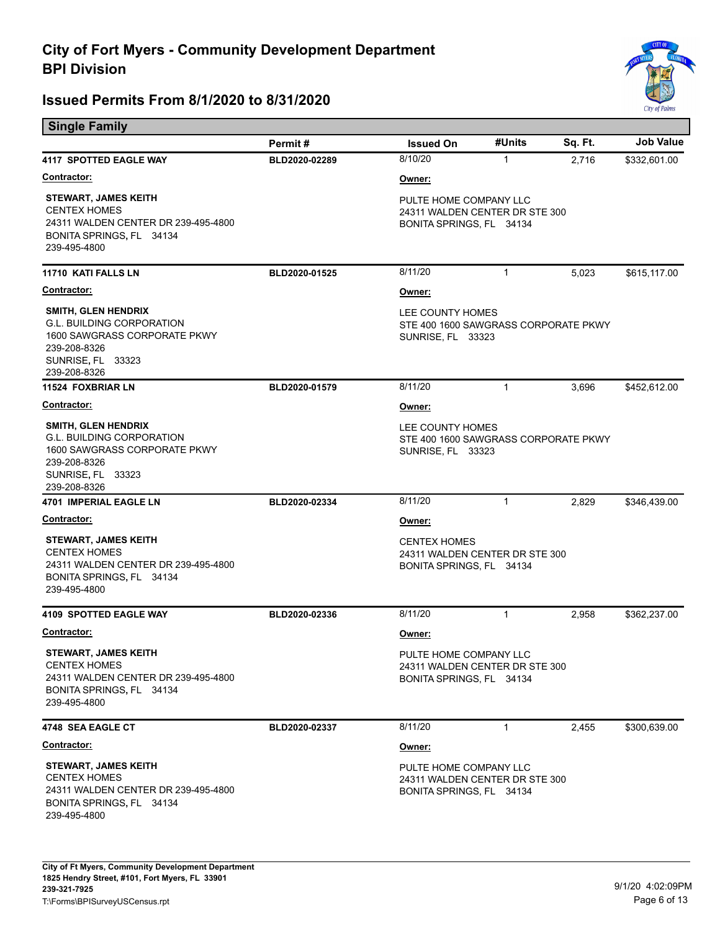

| <b>Single Family</b>                                                                                                                                |               |                                                                                      |              |         |                  |  |
|-----------------------------------------------------------------------------------------------------------------------------------------------------|---------------|--------------------------------------------------------------------------------------|--------------|---------|------------------|--|
|                                                                                                                                                     | Permit#       | <b>Issued On</b>                                                                     | #Units       | Sq. Ft. | <b>Job Value</b> |  |
| 4117 SPOTTED EAGLE WAY                                                                                                                              | BLD2020-02289 | 8/10/20                                                                              | 1            | 2,716   | \$332,601.00     |  |
| Contractor:                                                                                                                                         |               | <u>Owner:</u>                                                                        |              |         |                  |  |
| <b>STEWART, JAMES KEITH</b><br><b>CENTEX HOMES</b><br>24311 WALDEN CENTER DR 239-495-4800<br>BONITA SPRINGS, FL 34134<br>239-495-4800               |               | PULTE HOME COMPANY LLC<br>24311 WALDEN CENTER DR STE 300<br>BONITA SPRINGS, FL 34134 |              |         |                  |  |
| 11710 KATI FALLS LN                                                                                                                                 | BLD2020-01525 | 8/11/20                                                                              | $\mathbf{1}$ | 5,023   | \$615,117.00     |  |
| <u>Contractor:</u>                                                                                                                                  |               | Owner:                                                                               |              |         |                  |  |
| <b>SMITH, GLEN HENDRIX</b><br><b>G.L. BUILDING CORPORATION</b><br>1600 SAWGRASS CORPORATE PKWY<br>239-208-8326<br>SUNRISE, FL 33323<br>239-208-8326 |               | LEE COUNTY HOMES<br>STE 400 1600 SAWGRASS CORPORATE PKWY<br>SUNRISE, FL 33323        |              |         |                  |  |
| <b>11524 FOXBRIAR LN</b>                                                                                                                            | BLD2020-01579 | 8/11/20                                                                              | 1            | 3,696   | \$452,612.00     |  |
| Contractor:                                                                                                                                         |               | Owner:                                                                               |              |         |                  |  |
| <b>SMITH, GLEN HENDRIX</b><br><b>G.L. BUILDING CORPORATION</b><br>1600 SAWGRASS CORPORATE PKWY<br>239-208-8326<br>SUNRISE, FL 33323<br>239-208-8326 |               | LEE COUNTY HOMES<br>STE 400 1600 SAWGRASS CORPORATE PKWY<br>SUNRISE, FL 33323        |              |         |                  |  |
| <b>4701 IMPERIAL EAGLE LN</b>                                                                                                                       | BLD2020-02334 | 8/11/20                                                                              | $\mathbf{1}$ | 2,829   | \$346,439.00     |  |
| <u>Contractor:</u>                                                                                                                                  |               | Owner:                                                                               |              |         |                  |  |
| <b>STEWART, JAMES KEITH</b><br><b>CENTEX HOMES</b><br>24311 WALDEN CENTER DR 239-495-4800<br>BONITA SPRINGS, FL 34134<br>239-495-4800               |               | <b>CENTEX HOMES</b><br>24311 WALDEN CENTER DR STE 300<br>BONITA SPRINGS, FL 34134    |              |         |                  |  |
| <b>4109 SPOTTED EAGLE WAY</b>                                                                                                                       | BLD2020-02336 | 8/11/20                                                                              | $\mathbf{1}$ | 2,958   | \$362,237.00     |  |
| <b>Contractor:</b>                                                                                                                                  |               | Owner:                                                                               |              |         |                  |  |
| <b>STEWART, JAMES KEITH</b><br><b>CENTEX HOMES</b><br>24311 WALDEN CENTER DR 239-495-4800<br>BONITA SPRINGS, FL 34134<br>239-495-4800               |               | PULTE HOME COMPANY LLC<br>24311 WALDEN CENTER DR STE 300<br>BONITA SPRINGS, FL 34134 |              |         |                  |  |
| 4748 SEA EAGLE CT                                                                                                                                   | BLD2020-02337 | 8/11/20                                                                              | $\mathbf{1}$ | 2,455   | \$300,639.00     |  |
| <b>Contractor:</b>                                                                                                                                  |               | Owner:                                                                               |              |         |                  |  |
| <b>STEWART, JAMES KEITH</b><br><b>CENTEX HOMES</b><br>24311 WALDEN CENTER DR 239-495-4800<br>BONITA SPRINGS, FL 34134<br>239-495-4800               |               | PULTE HOME COMPANY LLC<br>24311 WALDEN CENTER DR STE 300<br>BONITA SPRINGS, FL 34134 |              |         |                  |  |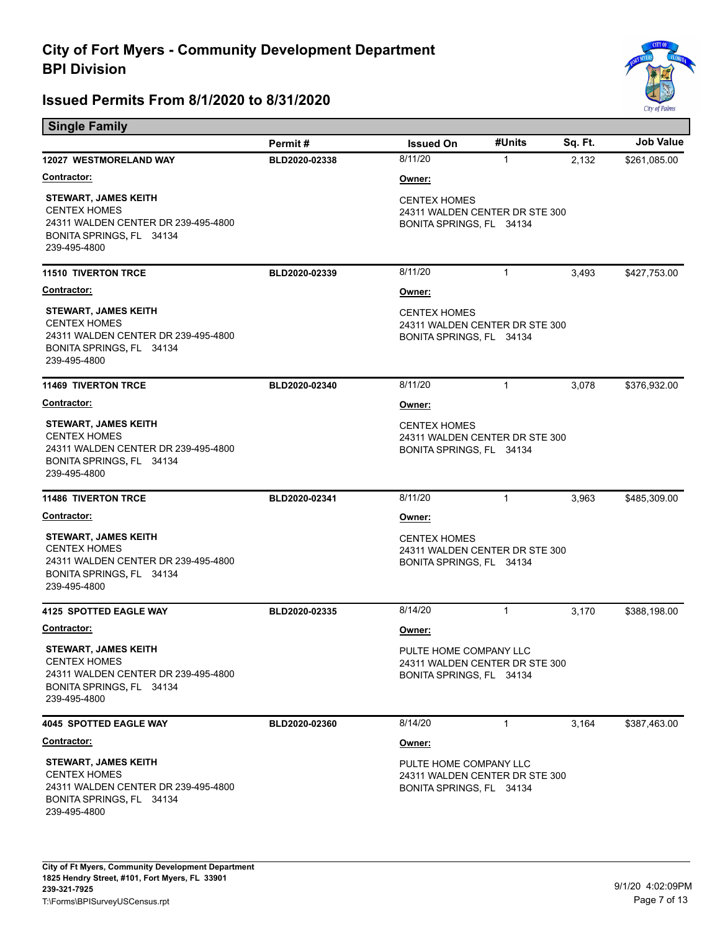

| <b>Single Family</b>                                                                                                                  |               |                                                                                      |              |         |                  |  |
|---------------------------------------------------------------------------------------------------------------------------------------|---------------|--------------------------------------------------------------------------------------|--------------|---------|------------------|--|
|                                                                                                                                       | Permit#       | <b>Issued On</b>                                                                     | #Units       | Sq. Ft. | <b>Job Value</b> |  |
| 12027 WESTMORELAND WAY                                                                                                                | BLD2020-02338 | 8/11/20                                                                              | $\mathbf{1}$ | 2,132   | \$261,085.00     |  |
| Contractor:                                                                                                                           |               | Owner:                                                                               |              |         |                  |  |
| <b>STEWART, JAMES KEITH</b><br><b>CENTEX HOMES</b><br>24311 WALDEN CENTER DR 239-495-4800<br>BONITA SPRINGS, FL 34134<br>239-495-4800 |               | <b>CENTEX HOMES</b><br>24311 WALDEN CENTER DR STE 300<br>BONITA SPRINGS, FL 34134    |              |         |                  |  |
| <b>11510 TIVERTON TRCE</b>                                                                                                            | BLD2020-02339 | 8/11/20                                                                              | $\mathbf{1}$ | 3,493   | \$427,753.00     |  |
| <b>Contractor:</b>                                                                                                                    |               | Owner:                                                                               |              |         |                  |  |
| <b>STEWART, JAMES KEITH</b><br><b>CENTEX HOMES</b><br>24311 WALDEN CENTER DR 239-495-4800<br>BONITA SPRINGS, FL 34134<br>239-495-4800 |               | <b>CENTEX HOMES</b><br>24311 WALDEN CENTER DR STE 300<br>BONITA SPRINGS, FL 34134    |              |         |                  |  |
| <b>11469 TIVERTON TRCE</b>                                                                                                            | BLD2020-02340 | 8/11/20                                                                              | 1            | 3,078   | \$376,932.00     |  |
| <b>Contractor:</b>                                                                                                                    |               | Owner:                                                                               |              |         |                  |  |
| <b>STEWART, JAMES KEITH</b><br><b>CENTEX HOMES</b><br>24311 WALDEN CENTER DR 239-495-4800<br>BONITA SPRINGS, FL 34134<br>239-495-4800 |               | <b>CENTEX HOMES</b><br>24311 WALDEN CENTER DR STE 300<br>BONITA SPRINGS, FL 34134    |              |         |                  |  |
| <b>11486 TIVERTON TRCE</b>                                                                                                            | BLD2020-02341 | 8/11/20                                                                              | $\mathbf{1}$ | 3,963   | \$485,309.00     |  |
| <b>Contractor:</b>                                                                                                                    |               | Owner:                                                                               |              |         |                  |  |
| <b>STEWART, JAMES KEITH</b><br><b>CENTEX HOMES</b><br>24311 WALDEN CENTER DR 239-495-4800<br>BONITA SPRINGS, FL 34134<br>239-495-4800 |               | <b>CENTEX HOMES</b><br>24311 WALDEN CENTER DR STE 300<br>BONITA SPRINGS, FL 34134    |              |         |                  |  |
| 4125 SPOTTED EAGLE WAY                                                                                                                | BLD2020-02335 | 8/14/20                                                                              | $\mathbf{1}$ | 3,170   | \$388,198.00     |  |
| Contractor:                                                                                                                           |               | Owner:                                                                               |              |         |                  |  |
| <b>STEWART, JAMES KEITH</b><br><b>CENTEX HOMES</b><br>24311 WALDEN CENTER DR 239-495-4800<br>BONITA SPRINGS, FL 34134<br>239-495-4800 |               | PULTE HOME COMPANY LLC<br>24311 WALDEN CENTER DR STE 300<br>BONITA SPRINGS, FL 34134 |              |         |                  |  |
| <b>4045 SPOTTED EAGLE WAY</b>                                                                                                         | BLD2020-02360 | 8/14/20                                                                              | $\mathbf{1}$ | 3,164   | \$387,463.00     |  |
| Contractor:                                                                                                                           |               | Owner:                                                                               |              |         |                  |  |
| <b>STEWART, JAMES KEITH</b><br><b>CENTEX HOMES</b><br>24311 WALDEN CENTER DR 239-495-4800<br>BONITA SPRINGS, FL 34134<br>239-495-4800 |               | PULTE HOME COMPANY LLC<br>24311 WALDEN CENTER DR STE 300<br>BONITA SPRINGS, FL 34134 |              |         |                  |  |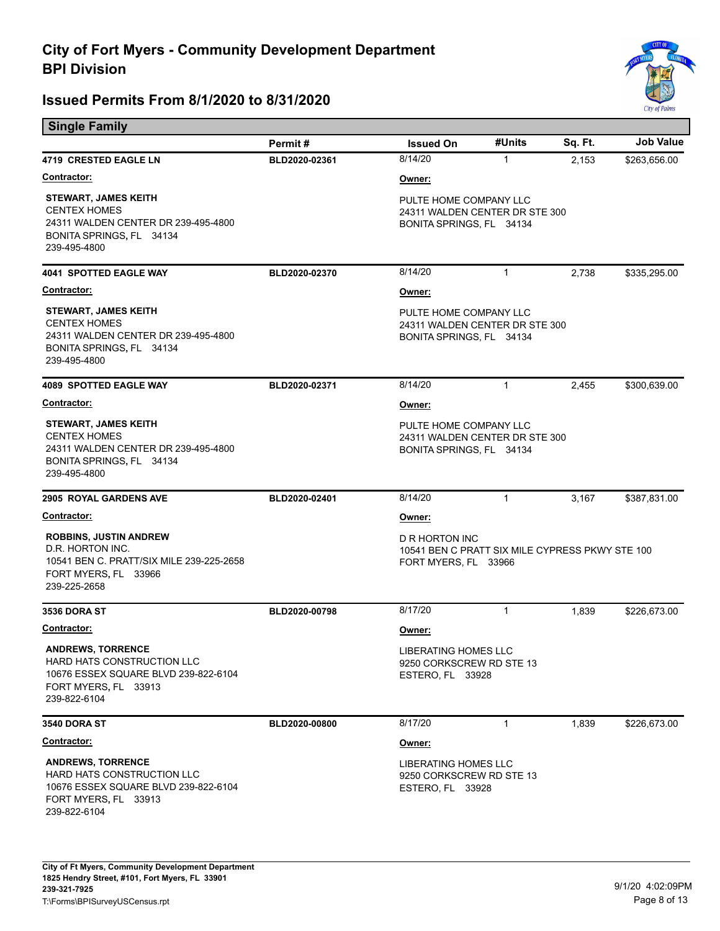

| <b>Single Family</b>                                                                                                                   |               |                                                                                           |              |         |                  |  |
|----------------------------------------------------------------------------------------------------------------------------------------|---------------|-------------------------------------------------------------------------------------------|--------------|---------|------------------|--|
|                                                                                                                                        | Permit#       | <b>Issued On</b>                                                                          | #Units       | Sq. Ft. | <b>Job Value</b> |  |
| 4719 CRESTED EAGLE LN                                                                                                                  | BLD2020-02361 | 8/14/20                                                                                   | $\mathbf{1}$ | 2,153   | \$263,656.00     |  |
| <b>Contractor:</b>                                                                                                                     |               | Owner:                                                                                    |              |         |                  |  |
| <b>STEWART, JAMES KEITH</b><br><b>CENTEX HOMES</b><br>24311 WALDEN CENTER DR 239-495-4800<br>BONITA SPRINGS, FL 34134<br>239-495-4800  |               | PULTE HOME COMPANY LLC<br>24311 WALDEN CENTER DR STE 300<br>BONITA SPRINGS, FL 34134      |              |         |                  |  |
| <b>4041 SPOTTED EAGLE WAY</b>                                                                                                          | BLD2020-02370 | 8/14/20                                                                                   | $\mathbf{1}$ | 2,738   | \$335,295.00     |  |
| Contractor:                                                                                                                            |               | Owner:                                                                                    |              |         |                  |  |
| <b>STEWART, JAMES KEITH</b><br><b>CENTEX HOMES</b><br>24311 WALDEN CENTER DR 239-495-4800<br>BONITA SPRINGS, FL 34134<br>239-495-4800  |               | PULTE HOME COMPANY LLC<br>24311 WALDEN CENTER DR STE 300<br>BONITA SPRINGS, FL 34134      |              |         |                  |  |
| <b>4089 SPOTTED EAGLE WAY</b>                                                                                                          | BLD2020-02371 | 8/14/20                                                                                   | $\mathbf{1}$ | 2,455   | \$300,639.00     |  |
| Contractor:                                                                                                                            |               | Owner:                                                                                    |              |         |                  |  |
| <b>STEWART, JAMES KEITH</b><br><b>CENTEX HOMES</b><br>24311 WALDEN CENTER DR 239-495-4800<br>BONITA SPRINGS, FL 34134<br>239-495-4800  |               | PULTE HOME COMPANY LLC<br>24311 WALDEN CENTER DR STE 300<br>BONITA SPRINGS, FL 34134      |              |         |                  |  |
| 2905 ROYAL GARDENS AVE                                                                                                                 | BLD2020-02401 | 8/14/20                                                                                   | $\mathbf{1}$ | 3,167   | \$387,831.00     |  |
| <u>Contractor:</u>                                                                                                                     |               | Owner:                                                                                    |              |         |                  |  |
| <b>ROBBINS, JUSTIN ANDREW</b><br>D.R. HORTON INC.<br>10541 BEN C. PRATT/SIX MILE 239-225-2658<br>FORT MYERS, FL 33966<br>239-225-2658  |               | D R HORTON INC<br>10541 BEN C PRATT SIX MILE CYPRESS PKWY STE 100<br>FORT MYERS, FL 33966 |              |         |                  |  |
| <b>3536 DORA ST</b>                                                                                                                    | BLD2020-00798 | 8/17/20                                                                                   | 1            | 1,839   | \$226,673.00     |  |
| Contractor:                                                                                                                            |               | Owner:                                                                                    |              |         |                  |  |
| <b>ANDREWS, TORRENCE</b><br>HARD HATS CONSTRUCTION LLC<br>10676 ESSEX SQUARE BLVD 239-822-6104<br>FORT MYERS, FL 33913<br>239-822-6104 |               | LIBERATING HOMES LLC<br>9250 CORKSCREW RD STE 13<br>ESTERO, FL 33928                      |              |         |                  |  |
| <b>3540 DORA ST</b>                                                                                                                    | BLD2020-00800 | 8/17/20                                                                                   | $\mathbf{1}$ | 1,839   | \$226,673.00     |  |
| Contractor:                                                                                                                            |               | Owner:                                                                                    |              |         |                  |  |
| <b>ANDREWS, TORRENCE</b><br>HARD HATS CONSTRUCTION LLC<br>10676 ESSEX SQUARE BLVD 239-822-6104<br>FORT MYERS, FL 33913<br>239-822-6104 |               | LIBERATING HOMES LLC<br>9250 CORKSCREW RD STE 13<br>ESTERO, FL 33928                      |              |         |                  |  |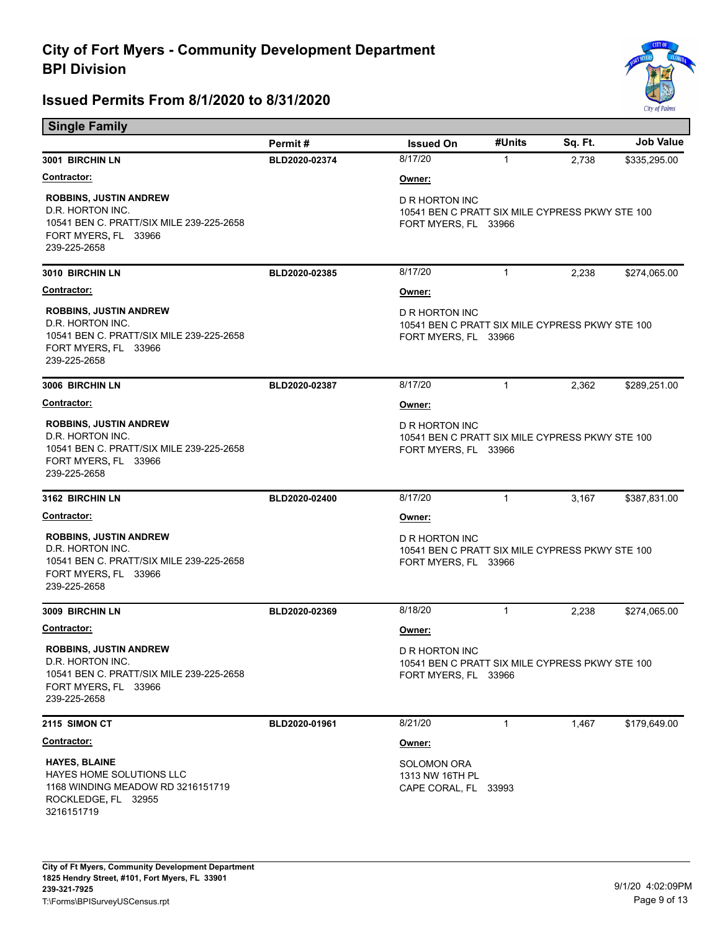

| <b>Single Family</b>                                                                                                                  |               |                                                                                                  |              |         |                  |  |
|---------------------------------------------------------------------------------------------------------------------------------------|---------------|--------------------------------------------------------------------------------------------------|--------------|---------|------------------|--|
|                                                                                                                                       | Permit#       | <b>Issued On</b>                                                                                 | #Units       | Sq. Ft. | <b>Job Value</b> |  |
| 3001 BIRCHIN LN                                                                                                                       | BLD2020-02374 | 8/17/20                                                                                          | $\mathbf{1}$ | 2,738   | \$335,295.00     |  |
| <u>Contractor:</u>                                                                                                                    |               | Owner:                                                                                           |              |         |                  |  |
| <b>ROBBINS, JUSTIN ANDREW</b><br>D.R. HORTON INC.<br>10541 BEN C. PRATT/SIX MILE 239-225-2658<br>FORT MYERS, FL 33966<br>239-225-2658 |               | D R HORTON INC<br>10541 BEN C PRATT SIX MILE CYPRESS PKWY STE 100<br>FORT MYERS, FL 33966        |              |         |                  |  |
| 3010 BIRCHIN LN                                                                                                                       | BLD2020-02385 | 8/17/20                                                                                          | 1            | 2,238   | \$274,065.00     |  |
| <b>Contractor:</b>                                                                                                                    |               | Owner:                                                                                           |              |         |                  |  |
| <b>ROBBINS, JUSTIN ANDREW</b><br>D.R. HORTON INC.<br>10541 BEN C. PRATT/SIX MILE 239-225-2658<br>FORT MYERS, FL 33966<br>239-225-2658 |               | D R HORTON INC<br>10541 BEN C PRATT SIX MILE CYPRESS PKWY STE 100<br>FORT MYERS, FL 33966        |              |         |                  |  |
| 3006 BIRCHIN LN                                                                                                                       | BLD2020-02387 | 8/17/20                                                                                          | $\mathbf{1}$ | 2,362   | \$289,251.00     |  |
| <b>Contractor:</b>                                                                                                                    |               | Owner:                                                                                           |              |         |                  |  |
| <b>ROBBINS, JUSTIN ANDREW</b><br>D.R. HORTON INC.<br>10541 BEN C. PRATT/SIX MILE 239-225-2658<br>FORT MYERS, FL 33966<br>239-225-2658 |               | D R HORTON INC<br>10541 BEN C PRATT SIX MILE CYPRESS PKWY STE 100<br>FORT MYERS, FL 33966        |              |         |                  |  |
| 3162 BIRCHIN LN                                                                                                                       | BLD2020-02400 | 8/17/20                                                                                          | $\mathbf{1}$ | 3,167   | \$387,831.00     |  |
| <u>Contractor:</u>                                                                                                                    |               | Owner:                                                                                           |              |         |                  |  |
| <b>ROBBINS, JUSTIN ANDREW</b><br>D.R. HORTON INC.<br>10541 BEN C. PRATT/SIX MILE 239-225-2658<br>FORT MYERS, FL 33966<br>239-225-2658 |               | D R HORTON INC<br>10541 BEN C PRATT SIX MILE CYPRESS PKWY STE 100<br>FORT MYERS, FL 33966        |              |         |                  |  |
| 3009 BIRCHIN LN                                                                                                                       | BLD2020-02369 | 8/18/20                                                                                          | $\mathbf{1}$ | 2,238   | \$274,065.00     |  |
| <b>Contractor:</b>                                                                                                                    |               | Owner:                                                                                           |              |         |                  |  |
| <b>ROBBINS, JUSTIN ANDREW</b><br>D.R. HORTON INC.<br>10541 BEN C. PRATT/SIX MILE 239-225-2658<br>FORT MYERS, FL 33966<br>239-225-2658 |               | <b>D R HORTON INC</b><br>10541 BEN C PRATT SIX MILE CYPRESS PKWY STE 100<br>FORT MYERS, FL 33966 |              |         |                  |  |
| <b>2115 SIMON CT</b>                                                                                                                  | BLD2020-01961 | 8/21/20                                                                                          | 1            | 1,467   | \$179,649.00     |  |
| <b>Contractor:</b>                                                                                                                    |               | Owner:                                                                                           |              |         |                  |  |
| <b>HAYES, BLAINE</b><br>HAYES HOME SOLUTIONS LLC<br>1168 WINDING MEADOW RD 3216151719<br>ROCKLEDGE, FL 32955<br>3216151719            |               | <b>SOLOMON ORA</b><br>1313 NW 16TH PL<br>CAPE CORAL, FL 33993                                    |              |         |                  |  |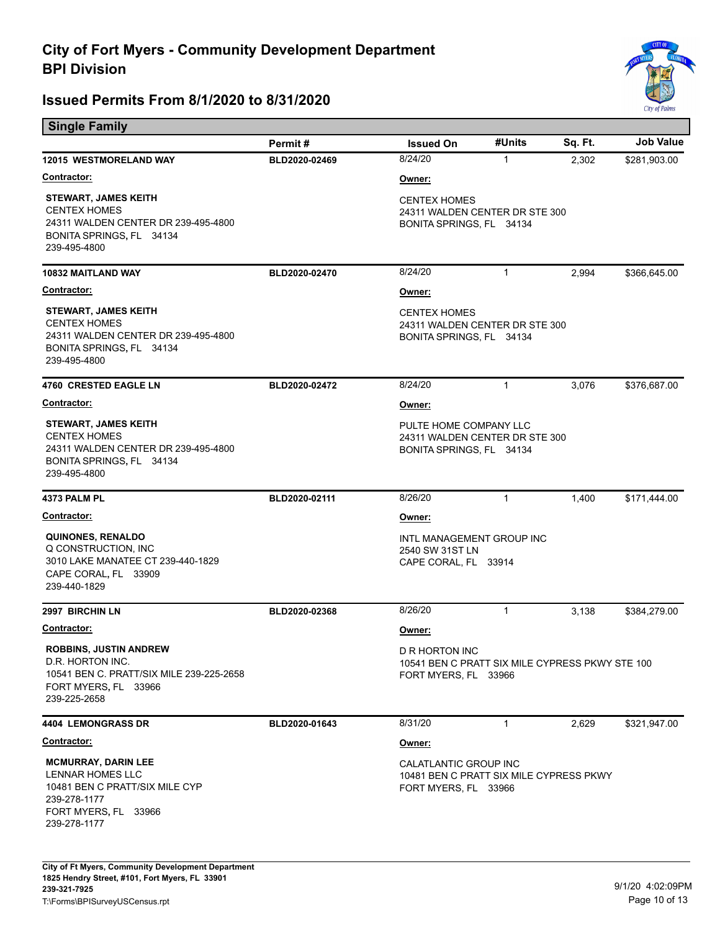

| <b>Single Family</b>                                                                                                                     |               |                                                                                                  |              |         |                  |  |
|------------------------------------------------------------------------------------------------------------------------------------------|---------------|--------------------------------------------------------------------------------------------------|--------------|---------|------------------|--|
|                                                                                                                                          | Permit#       | <b>Issued On</b>                                                                                 | #Units       | Sq. Ft. | <b>Job Value</b> |  |
| <b>12015 WESTMORELAND WAY</b>                                                                                                            | BLD2020-02469 | 8/24/20                                                                                          | 1            | 2,302   | \$281,903.00     |  |
| <b>Contractor:</b>                                                                                                                       |               | Owner:                                                                                           |              |         |                  |  |
| <b>STEWART, JAMES KEITH</b><br><b>CENTEX HOMES</b><br>24311 WALDEN CENTER DR 239-495-4800<br>BONITA SPRINGS, FL 34134<br>239-495-4800    |               | <b>CENTEX HOMES</b><br>24311 WALDEN CENTER DR STE 300<br>BONITA SPRINGS, FL 34134                |              |         |                  |  |
| 10832 MAITLAND WAY                                                                                                                       | BLD2020-02470 | 8/24/20                                                                                          | $\mathbf{1}$ | 2,994   | \$366,645.00     |  |
| Contractor:                                                                                                                              |               | <u>Owner:</u>                                                                                    |              |         |                  |  |
| <b>STEWART, JAMES KEITH</b><br><b>CENTEX HOMES</b><br>24311 WALDEN CENTER DR 239-495-4800<br>BONITA SPRINGS, FL 34134<br>239-495-4800    |               | <b>CENTEX HOMES</b><br>24311 WALDEN CENTER DR STE 300<br>BONITA SPRINGS, FL 34134                |              |         |                  |  |
| <b>4760 CRESTED EAGLE LN</b>                                                                                                             | BLD2020-02472 | 8/24/20                                                                                          | 1            | 3,076   | \$376,687.00     |  |
| <b>Contractor:</b>                                                                                                                       |               | <u>Owner:</u>                                                                                    |              |         |                  |  |
| <b>STEWART, JAMES KEITH</b><br><b>CENTEX HOMES</b><br>24311 WALDEN CENTER DR 239-495-4800<br>BONITA SPRINGS, FL 34134<br>239-495-4800    |               | PULTE HOME COMPANY LLC<br>24311 WALDEN CENTER DR STE 300<br>BONITA SPRINGS, FL 34134             |              |         |                  |  |
| 4373 PALM PL                                                                                                                             | BLD2020-02111 | 8/26/20                                                                                          | 1            | 1,400   | \$171,444.00     |  |
| <u>Contractor:</u>                                                                                                                       |               | Owner:                                                                                           |              |         |                  |  |
| <b>QUINONES, RENALDO</b><br>Q CONSTRUCTION, INC<br>3010 LAKE MANATEE CT 239-440-1829<br>CAPE CORAL, FL 33909<br>239-440-1829             |               | INTL MANAGEMENT GROUP INC<br>2540 SW 31ST LN<br>CAPE CORAL, FL 33914                             |              |         |                  |  |
| 2997 BIRCHIN LN                                                                                                                          | BLD2020-02368 | 8/26/20                                                                                          | 1            | 3,138   | \$384,279.00     |  |
| Contractor:                                                                                                                              |               | Owner:                                                                                           |              |         |                  |  |
| <b>ROBBINS, JUSTIN ANDREW</b><br>D.R. HORTON INC.<br>10541 BEN C. PRATT/SIX MILE 239-225-2658<br>FORT MYERS, FL 33966<br>239-225-2658    |               | <b>D R HORTON INC</b><br>10541 BEN C PRATT SIX MILE CYPRESS PKWY STE 100<br>FORT MYERS, FL 33966 |              |         |                  |  |
| <b>4404 LEMONGRASS DR</b>                                                                                                                | BLD2020-01643 | 8/31/20                                                                                          | $\mathbf{1}$ | 2,629   | \$321,947.00     |  |
| <b>Contractor:</b>                                                                                                                       |               | Owner:                                                                                           |              |         |                  |  |
| <b>MCMURRAY, DARIN LEE</b><br>LENNAR HOMES LLC<br>10481 BEN C PRATT/SIX MILE CYP<br>239-278-1177<br>FORT MYERS, FL 33966<br>239-278-1177 |               | CALATLANTIC GROUP INC<br>10481 BEN C PRATT SIX MILE CYPRESS PKWY<br>FORT MYERS, FL 33966         |              |         |                  |  |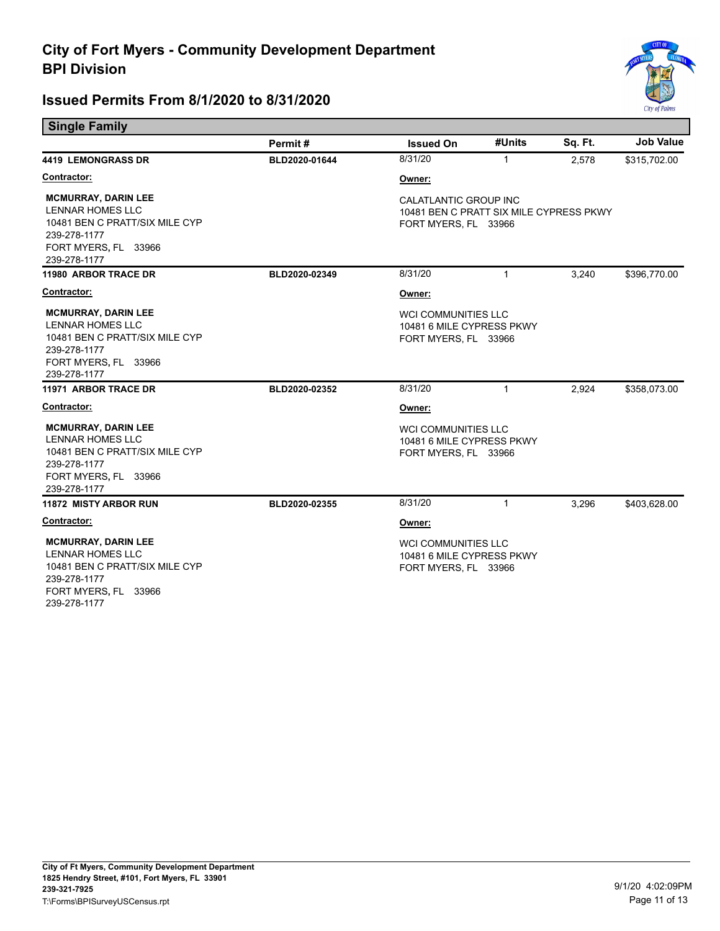

| <b>Single Family</b>                                                                                                                            |               |                                                                                          |              |         |                  |
|-------------------------------------------------------------------------------------------------------------------------------------------------|---------------|------------------------------------------------------------------------------------------|--------------|---------|------------------|
|                                                                                                                                                 | Permit#       | <b>Issued On</b>                                                                         | #Units       | Sq. Ft. | <b>Job Value</b> |
| <b>4419 LEMONGRASS DR</b>                                                                                                                       | BLD2020-01644 | 8/31/20                                                                                  | $\mathbf{1}$ | 2.578   | \$315,702.00     |
| <u>Contractor:</u>                                                                                                                              |               | Owner:                                                                                   |              |         |                  |
| <b>MCMURRAY, DARIN LEE</b><br><b>LENNAR HOMES LLC</b><br>10481 BEN C PRATT/SIX MILE CYP<br>239-278-1177<br>FORT MYERS, FL 33966<br>239-278-1177 |               | CALATLANTIC GROUP INC<br>10481 BEN C PRATT SIX MILE CYPRESS PKWY<br>FORT MYERS, FL 33966 |              |         |                  |
| 11980 ARBOR TRACE DR                                                                                                                            | BLD2020-02349 | 8/31/20                                                                                  | $\mathbf{1}$ | 3,240   | \$396,770.00     |
| Contractor:                                                                                                                                     |               | Owner:                                                                                   |              |         |                  |
| <b>MCMURRAY, DARIN LEE</b><br><b>LENNAR HOMES LLC</b><br>10481 BEN C PRATT/SIX MILE CYP<br>239-278-1177<br>FORT MYERS, FL 33966<br>239-278-1177 |               | <b>WCI COMMUNITIES LLC</b><br>10481 6 MILE CYPRESS PKWY<br>FORT MYERS, FL 33966          |              |         |                  |
| 11971 ARBOR TRACE DR                                                                                                                            | BLD2020-02352 | 8/31/20                                                                                  | $\mathbf{1}$ | 2,924   | \$358,073.00     |
| Contractor:                                                                                                                                     |               | Owner:                                                                                   |              |         |                  |
| <b>MCMURRAY, DARIN LEE</b><br>LENNAR HOMES LLC<br>10481 BEN C PRATT/SIX MILE CYP<br>239-278-1177<br>FORT MYERS, FL 33966<br>239-278-1177        |               | <b>WCI COMMUNITIES LLC</b><br>10481 6 MILE CYPRESS PKWY<br>FORT MYERS, FL 33966          |              |         |                  |
| <b>11872 MISTY ARBOR RUN</b>                                                                                                                    | BLD2020-02355 | 8/31/20                                                                                  | 1            | 3,296   | \$403,628.00     |
| Contractor:                                                                                                                                     |               | Owner:                                                                                   |              |         |                  |
| <b>MCMURRAY, DARIN LEE</b><br><b>LENNAR HOMES LLC</b><br>10481 BEN C PRATT/SIX MILE CYP<br>239-278-1177<br>FORT MYERS, FL 33966<br>239-278-1177 |               | <b>WCI COMMUNITIES LLC</b><br>10481 6 MILE CYPRESS PKWY<br>FORT MYERS, FL 33966          |              |         |                  |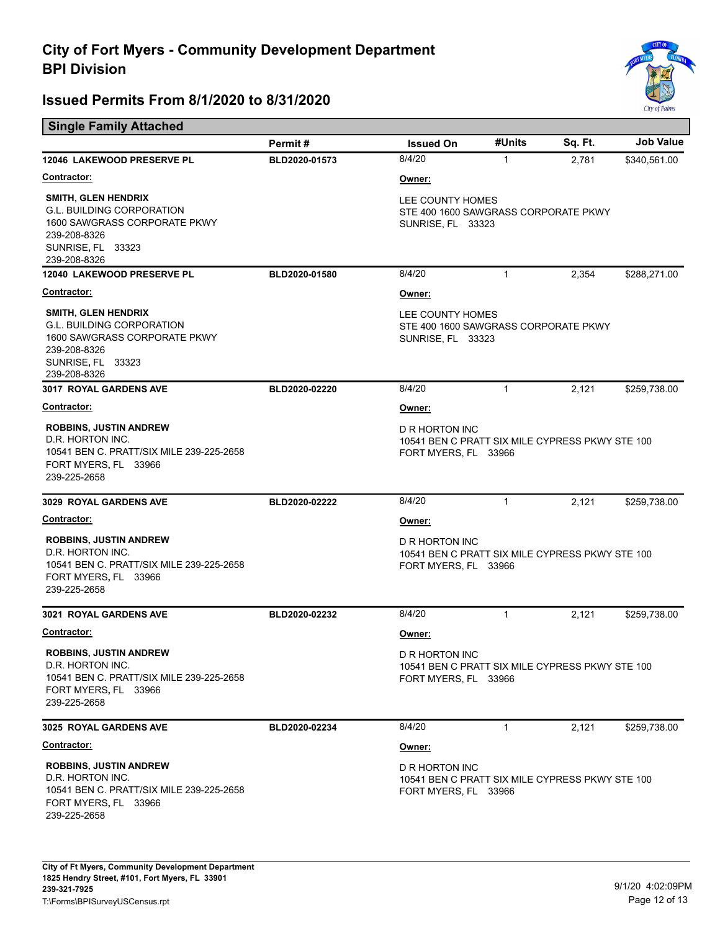е



|                                                                                                                                                     | Permit#       | <b>Issued On</b>                                                                          | #Units       | Sq. Ft. | <b>Job Value</b> |  |
|-----------------------------------------------------------------------------------------------------------------------------------------------------|---------------|-------------------------------------------------------------------------------------------|--------------|---------|------------------|--|
| 12046 LAKEWOOD PRESERVE PL                                                                                                                          | BLD2020-01573 | 8/4/20                                                                                    | $\mathbf{1}$ | 2,781   | \$340,561.00     |  |
| <b>Contractor:</b>                                                                                                                                  |               | Owner:                                                                                    |              |         |                  |  |
| <b>SMITH, GLEN HENDRIX</b><br><b>G.L. BUILDING CORPORATION</b><br>1600 SAWGRASS CORPORATE PKWY<br>239-208-8326<br>SUNRISE, FL 33323<br>239-208-8326 |               | LEE COUNTY HOMES<br>STE 400 1600 SAWGRASS CORPORATE PKWY<br><b>SUNRISE, FL 33323</b>      |              |         |                  |  |
| 12040 LAKEWOOD PRESERVE PL                                                                                                                          | BLD2020-01580 | 8/4/20                                                                                    | $\mathbf{1}$ | 2,354   | \$288,271.00     |  |
| <b>Contractor:</b>                                                                                                                                  |               | Owner:                                                                                    |              |         |                  |  |
| <b>SMITH, GLEN HENDRIX</b><br><b>G.L. BUILDING CORPORATION</b><br>1600 SAWGRASS CORPORATE PKWY<br>239-208-8326<br>SUNRISE, FL 33323<br>239-208-8326 |               | LEE COUNTY HOMES<br>STE 400 1600 SAWGRASS CORPORATE PKWY<br><b>SUNRISE, FL 33323</b>      |              |         |                  |  |
| <b>3017 ROYAL GARDENS AVE</b>                                                                                                                       | BLD2020-02220 | 8/4/20                                                                                    | $\mathbf{1}$ | 2,121   | \$259,738.00     |  |
| <b>Contractor:</b>                                                                                                                                  |               | Owner:                                                                                    |              |         |                  |  |
| <b>ROBBINS, JUSTIN ANDREW</b><br>D.R. HORTON INC.<br>10541 BEN C. PRATT/SIX MILE 239-225-2658<br>FORT MYERS, FL 33966<br>239-225-2658               |               | D R HORTON INC<br>10541 BEN C PRATT SIX MILE CYPRESS PKWY STE 100<br>FORT MYERS, FL 33966 |              |         |                  |  |
| 3029 ROYAL GARDENS AVE                                                                                                                              | BLD2020-02222 | 8/4/20                                                                                    | $\mathbf{1}$ | 2,121   | \$259,738.00     |  |
| <b>Contractor:</b>                                                                                                                                  |               | Owner:                                                                                    |              |         |                  |  |
| <b>ROBBINS, JUSTIN ANDREW</b><br>D.R. HORTON INC.<br>10541 BEN C. PRATT/SIX MILE 239-225-2658<br>FORT MYERS, FL 33966<br>239-225-2658               |               | D R HORTON INC<br>10541 BEN C PRATT SIX MILE CYPRESS PKWY STE 100<br>FORT MYERS, FL 33966 |              |         |                  |  |
| <b>3021 ROYAL GARDENS AVE</b>                                                                                                                       | BLD2020-02232 | 8/4/20                                                                                    | $\mathbf{1}$ | 2,121   | \$259,738.00     |  |
| Contractor:                                                                                                                                         |               | Owner:                                                                                    |              |         |                  |  |
| <b>ROBBINS, JUSTIN ANDREW</b><br>D.R. HORTON INC.<br>10541 BEN C. PRATT/SIX MILE 239-225-2658<br>FORT MYERS, FL 33966<br>239-225-2658               |               | D R HORTON INC<br>10541 BEN C PRATT SIX MILE CYPRESS PKWY STE 100<br>FORT MYERS, FL 33966 |              |         |                  |  |
| 3025 ROYAL GARDENS AVE                                                                                                                              | BLD2020-02234 | 8/4/20                                                                                    | $\mathbf{1}$ | 2,121   | \$259,738.00     |  |
| Contractor:                                                                                                                                         |               | Owner:                                                                                    |              |         |                  |  |
| <b>ROBBINS, JUSTIN ANDREW</b><br>D.R. HORTON INC.<br>10541 BEN C. PRATT/SIX MILE 239-225-2658<br>FORT MYERS, FL 33966<br>239-225-2658               |               | D R HORTON INC<br>10541 BEN C PRATT SIX MILE CYPRESS PKWY STE 100<br>FORT MYERS, FL 33966 |              |         |                  |  |